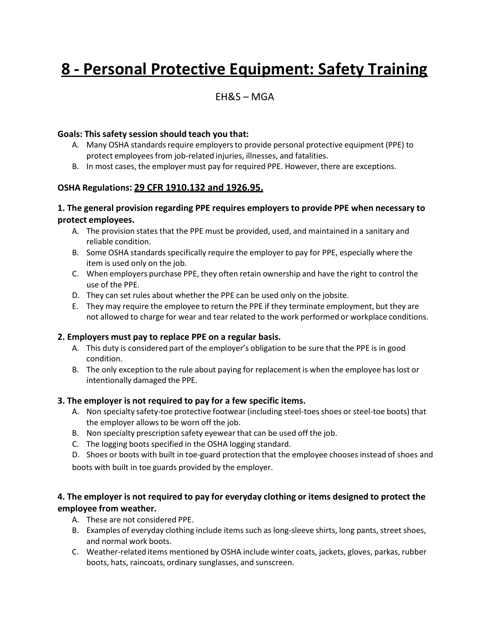# **8 - Personal Protective Equipment: Safety Training**

## EH&S – MGA

#### **Goals: This safety session should teach you that:**

- A. Many OSHA standards require employers to provide personal protective equipment (PPE) to protect employees from job-related injuries, illnesses, and fatalities.
- B. In most cases, the employer must pay for required PPE. However, there are exceptions.

## **OSHA Regulations: 29 CFR 1910.132 and 1926.95.**

#### **1. The general provision regarding PPE requires employers to provide PPE when necessary to protect employees.**

- A. The provision states that the PPE must be provided, used, and maintained in a sanitary and reliable condition.
- B. Some OSHA standardsspecifically require the employer to pay for PPE, especially where the item is used only on the job.
- C. When employers purchase PPE, they often retain ownership and have the right to control the use of the PPE.
- D. They can set rules about whether the PPE can be used only on the jobsite.
- E. They may require the employee to return the PPE if they terminate employment, but they are not allowed to charge for wear and tear related to the work performed or workplace conditions.

#### **2. Employers must pay to replace PPE on a regular basis.**

- A. This duty is considered part of the employer's obligation to be sure that the PPE is in good condition.
- B. The only exception to the rule about paying for replacement is when the employee has lost or intentionally damaged the PPE.

#### **3. The employer is not required to pay for a few specific items.**

- A. Non specialty safety-toe protective footwear (including steel-toes shoes or steel-toe boots) that the employer allows to be worn off the job.
- B. Non specialty prescription safety eyewear that can be used off the job.
- C. The logging boots specified in the OSHA logging standard.
- D. Shoes or boots with built in toe-guard protection that the employee chooses instead of shoes and boots with built in toe guards provided by the employer.

## **4. The employer is not required to pay for everyday clothing or items designed to protect the employee from weather.**

- A. These are not considered PPE.
- B. Examples of everyday clothing include items such as long-sleeve shirts, long pants, street shoes, and normal work boots.
- C. Weather-related items mentioned by OSHA include winter coats, jackets, gloves, parkas, rubber boots, hats, raincoats, ordinary sunglasses, and sunscreen.